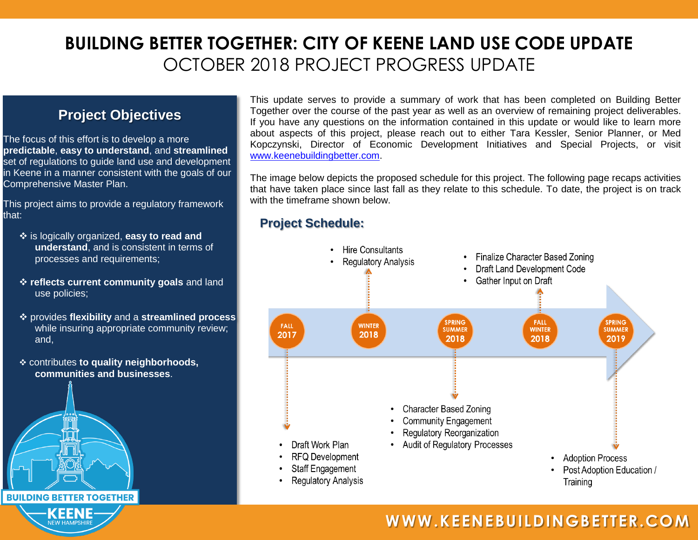## **BUILDING BETTER TOGETHER: CITY OF KEENE LAND USE CODE UPDATE** OCTOBER 2018 PROJECT PROGRESS UPDATE

## **Project Objectives**

The focus of this effort is to develop a more **predictable**, **easy to understand**, and **streamlined** set of regulations to guide land use and development in Keene in a manner consistent with the goals of our Comprehensive Master Plan.

This project aims to provide a regulatory framework that:

- is logically organized, **easy to read and understand**, and is consistent in terms of processes and requirements;
- **reflects current community goals** and land use policies;
- provides **flexibility** and a **streamlined process** while insuring appropriate community review; and,
- contributes **to quality neighborhoods, communities and businesses**.

**BUILDING BETTER TOGETHER** KEENE

This update serves to provide a summary of work that has been completed on Building Better Together over the course of the past year as well as an overview of remaining project deliverables. If you have any questions on the information contained in this update or would like to learn more about aspects of this project, please reach out to either Tara Kessler, Senior Planner, or Med Kopczynski, Director of Economic Development Initiatives and Special Projects, or visit [www.keenebuildingbetter.com.](http://www.keenebuildingbetter.com/)

The image below depicts the proposed schedule for this project. The following page recaps activities that have taken place since last fall as they relate to this schedule. To date, the project is on track with the timeframe shown below.

## **Project Schedule:**



## **WWW.KEENEBUILDINGBETTER.COM**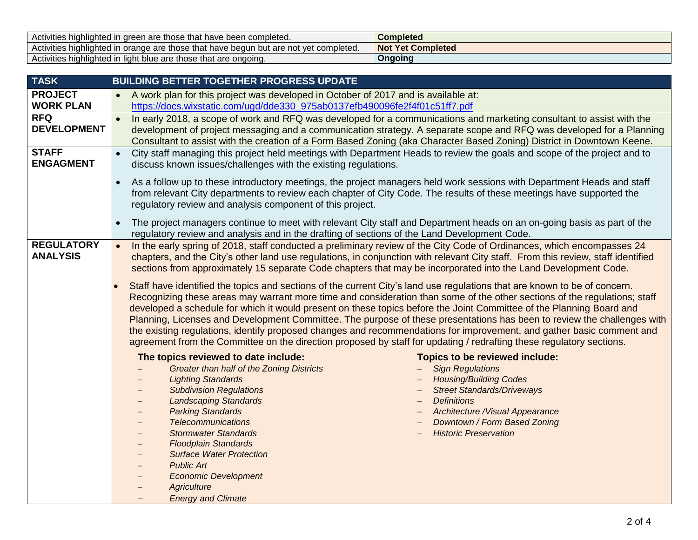| Activities highlighted in green are those that have been completed.                   | Completed                          |
|---------------------------------------------------------------------------------------|------------------------------------|
| Activities highlighted in orange are those that have begun but are not yet completed. | <b>Not</b><br><b>Yet Completed</b> |
| Activities highlighted in light blue are those that are ongoing.                      | Ongoing                            |

| <b>TASK</b>        | <b>BUILDING BETTER TOGETHER PROGRESS UPDATE</b>                                                                                                                    |  |  |
|--------------------|--------------------------------------------------------------------------------------------------------------------------------------------------------------------|--|--|
| <b>PROJECT</b>     | A work plan for this project was developed in October of 2017 and is available at:                                                                                 |  |  |
| <b>WORK PLAN</b>   | https://docs.wixstatic.com/ugd/dde330_975ab0137efb490096fe2f4f01c51ff7.pdf                                                                                         |  |  |
| <b>RFQ</b>         | In early 2018, a scope of work and RFQ was developed for a communications and marketing consultant to assist with the<br>$\bullet$                                 |  |  |
| <b>DEVELOPMENT</b> | development of project messaging and a communication strategy. A separate scope and RFQ was developed for a Planning                                               |  |  |
|                    | Consultant to assist with the creation of a Form Based Zoning (aka Character Based Zoning) District in Downtown Keene.                                             |  |  |
| <b>STAFF</b>       | City staff managing this project held meetings with Department Heads to review the goals and scope of the project and to<br>$\bullet$                              |  |  |
| <b>ENGAGMENT</b>   | discuss known issues/challenges with the existing regulations.                                                                                                     |  |  |
|                    | As a follow up to these introductory meetings, the project managers held work sessions with Department Heads and staff<br>$\bullet$                                |  |  |
|                    | from relevant City departments to review each chapter of City Code. The results of these meetings have supported the                                               |  |  |
|                    | regulatory review and analysis component of this project.                                                                                                          |  |  |
|                    | The project managers continue to meet with relevant City staff and Department heads on an on-going basis as part of the<br>$\bullet$                               |  |  |
|                    | regulatory review and analysis and in the drafting of sections of the Land Development Code.                                                                       |  |  |
| <b>REGULATORY</b>  | In the early spring of 2018, staff conducted a preliminary review of the City Code of Ordinances, which encompasses 24<br>$\bullet$                                |  |  |
| <b>ANALYSIS</b>    | chapters, and the City's other land use regulations, in conjunction with relevant City staff. From this review, staff identified                                   |  |  |
|                    | sections from approximately 15 separate Code chapters that may be incorporated into the Land Development Code.                                                     |  |  |
|                    | Staff have identified the topics and sections of the current City's land use regulations that are known to be of concern.                                          |  |  |
|                    | Recognizing these areas may warrant more time and consideration than some of the other sections of the regulations; staff                                          |  |  |
|                    | developed a schedule for which it would present on these topics before the Joint Committee of the Planning Board and                                               |  |  |
|                    | Planning, Licenses and Development Committee. The purpose of these presentations has been to review the challenges with                                            |  |  |
|                    | the existing regulations, identify proposed changes and recommendations for improvement, and gather basic comment and                                              |  |  |
|                    | agreement from the Committee on the direction proposed by staff for updating / redrafting these regulatory sections.                                               |  |  |
|                    | The topics reviewed to date include:<br>Topics to be reviewed include:                                                                                             |  |  |
|                    | <b>Greater than half of the Zoning Districts</b><br><b>Sign Regulations</b>                                                                                        |  |  |
|                    | <b>Lighting Standards</b><br><b>Housing/Building Codes</b>                                                                                                         |  |  |
|                    | <b>Subdivision Regulations</b><br><b>Street Standards/Driveways</b><br>$\qquad \qquad -$                                                                           |  |  |
|                    | <b>Definitions</b><br><b>Landscaping Standards</b><br>$\qquad \qquad -$<br><b>Parking Standards</b><br>Architecture /Visual Appearance<br>$\overline{\phantom{m}}$ |  |  |
|                    | <b>Telecommunications</b><br>Downtown / Form Based Zoning                                                                                                          |  |  |
|                    | <b>Historic Preservation</b><br><b>Stormwater Standards</b><br>$\qquad \qquad -$                                                                                   |  |  |
|                    | <b>Floodplain Standards</b><br>$\qquad \qquad -$                                                                                                                   |  |  |
|                    | <b>Surface Water Protection</b><br>$\overline{\phantom{m}}$                                                                                                        |  |  |
|                    | <b>Public Art</b>                                                                                                                                                  |  |  |
|                    | <b>Economic Development</b><br>$\overline{\phantom{m}}$                                                                                                            |  |  |
|                    | <b>Agriculture</b>                                                                                                                                                 |  |  |
|                    | <b>Energy and Climate</b>                                                                                                                                          |  |  |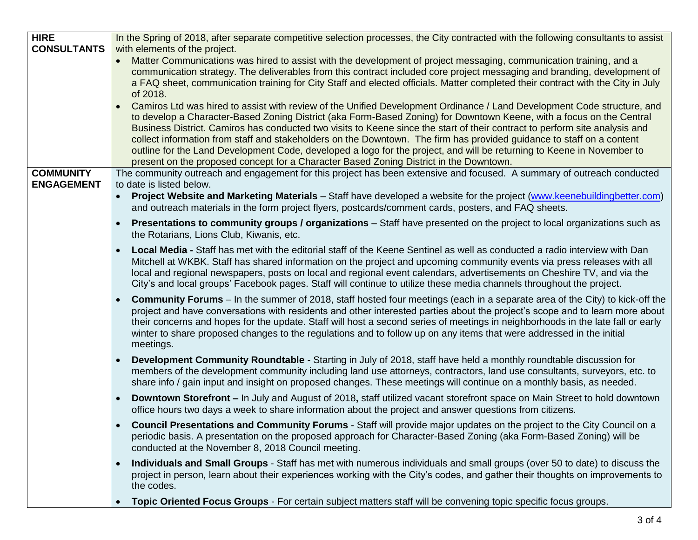| <b>HIRE</b>        | In the Spring of 2018, after separate competitive selection processes, the City contracted with the following consultants to assist                                                                                                                                                                                                                                                                                                                                                                                                                                                                                                                                                                                         |
|--------------------|-----------------------------------------------------------------------------------------------------------------------------------------------------------------------------------------------------------------------------------------------------------------------------------------------------------------------------------------------------------------------------------------------------------------------------------------------------------------------------------------------------------------------------------------------------------------------------------------------------------------------------------------------------------------------------------------------------------------------------|
| <b>CONSULTANTS</b> | with elements of the project.                                                                                                                                                                                                                                                                                                                                                                                                                                                                                                                                                                                                                                                                                               |
|                    | Matter Communications was hired to assist with the development of project messaging, communication training, and a<br>communication strategy. The deliverables from this contract included core project messaging and branding, development of<br>a FAQ sheet, communication training for City Staff and elected officials. Matter completed their contract with the City in July<br>of 2018.                                                                                                                                                                                                                                                                                                                               |
|                    | Camiros Ltd was hired to assist with review of the Unified Development Ordinance / Land Development Code structure, and<br>to develop a Character-Based Zoning District (aka Form-Based Zoning) for Downtown Keene, with a focus on the Central<br>Business District. Camiros has conducted two visits to Keene since the start of their contract to perform site analysis and<br>collect information from staff and stakeholders on the Downtown. The firm has provided guidance to staff on a content<br>outline for the Land Development Code, developed a logo for the project, and will be returning to Keene in November to<br>present on the proposed concept for a Character Based Zoning District in the Downtown. |
| <b>COMMUNITY</b>   | The community outreach and engagement for this project has been extensive and focused. A summary of outreach conducted                                                                                                                                                                                                                                                                                                                                                                                                                                                                                                                                                                                                      |
| <b>ENGAGEMENT</b>  | to date is listed below.<br>Project Website and Marketing Materials – Staff have developed a website for the project (www.keenebuildingbetter.com)<br>and outreach materials in the form project flyers, postcards/comment cards, posters, and FAQ sheets.                                                                                                                                                                                                                                                                                                                                                                                                                                                                  |
|                    | <b>Presentations to community groups / organizations</b> – Staff have presented on the project to local organizations such as<br>the Rotarians, Lions Club, Kiwanis, etc.                                                                                                                                                                                                                                                                                                                                                                                                                                                                                                                                                   |
|                    | Local Media - Staff has met with the editorial staff of the Keene Sentinel as well as conducted a radio interview with Dan<br>Mitchell at WKBK. Staff has shared information on the project and upcoming community events via press releases with all<br>local and regional newspapers, posts on local and regional event calendars, advertisements on Cheshire TV, and via the<br>City's and local groups' Facebook pages. Staff will continue to utilize these media channels throughout the project.                                                                                                                                                                                                                     |
|                    | Community Forums - In the summer of 2018, staff hosted four meetings (each in a separate area of the City) to kick-off the<br>project and have conversations with residents and other interested parties about the project's scope and to learn more about<br>their concerns and hopes for the update. Staff will host a second series of meetings in neighborhoods in the late fall or early<br>winter to share proposed changes to the regulations and to follow up on any items that were addressed in the initial<br>meetings.                                                                                                                                                                                          |
|                    | Development Community Roundtable - Starting in July of 2018, staff have held a monthly roundtable discussion for<br>members of the development community including land use attorneys, contractors, land use consultants, surveyors, etc. to<br>share info / gain input and insight on proposed changes. These meetings will continue on a monthly basis, as needed.                                                                                                                                                                                                                                                                                                                                                        |
|                    | <b>Downtown Storefront – In July and August of 2018, staff utilized vacant storefront space on Main Street to hold downtown</b><br>$\bullet$<br>office hours two days a week to share information about the project and answer questions from citizens.                                                                                                                                                                                                                                                                                                                                                                                                                                                                     |
|                    | Council Presentations and Community Forums - Staff will provide major updates on the project to the City Council on a<br>periodic basis. A presentation on the proposed approach for Character-Based Zoning (aka Form-Based Zoning) will be<br>conducted at the November 8, 2018 Council meeting.                                                                                                                                                                                                                                                                                                                                                                                                                           |
|                    | Individuals and Small Groups - Staff has met with numerous individuals and small groups (over 50 to date) to discuss the<br>$\bullet$<br>project in person, learn about their experiences working with the City's codes, and gather their thoughts on improvements to<br>the codes.                                                                                                                                                                                                                                                                                                                                                                                                                                         |
|                    | Topic Oriented Focus Groups - For certain subject matters staff will be convening topic specific focus groups.                                                                                                                                                                                                                                                                                                                                                                                                                                                                                                                                                                                                              |